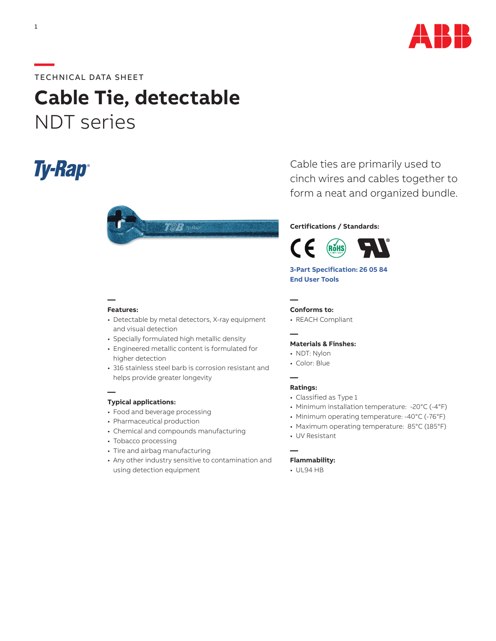

### **—**TECHNICAL DATA SHEET

# **Cable Tie, detectable** NDT series

# **Ty-Rap**®



#### **Features:**

**—**

**—**

- Detectable by metal detectors, X-ray equipment and visual detection
- Specially formulated high metallic density
- Engineered metallic content is formulated for higher detection
- 316 stainless steel barb is corrosion resistant and helps provide greater longevity

#### **Typical applications:**

- Food and beverage processing
- Pharmaceutical production
- Chemical and compounds manufacturing
- Tobacco processing
- Tire and airbag manufacturing
- Any other industry sensitive to contamination and using detection equipment

Cable ties are primarily used to cinch wires and cables together to form a neat and organized bundle.

#### **Certifications / Standards:**



### **[3-Part Specification: 26 05 84](http://www-public.tnb.com/ps/pubint/specguide.cgi) [End User Tools](http://tnb.abb.com/pub/en/node/258)**

**— Conforms to:**

• REACH Compliant

## **—**

#### **Materials & Finshes:**

- NDT: Nylon
- Color: Blue

#### **— Ratings:**

- Classified as Type 1
- Minimum installation temperature: -20°C (-4°F)
- Minimum operating temperature: -40°C (-76°F)
- Maximum operating temperature: 85°C (185°F)
- UV Resistant

#### **Flammability:**

• UL94 HB

**—**